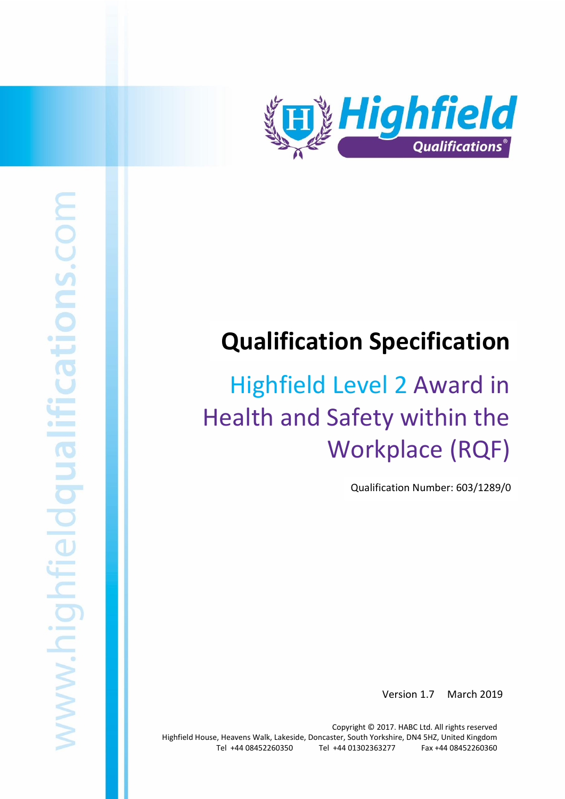

# **Qualification Specification**

# Highfield Level 2 Award in Health and Safety within the Workplace (RQF)

Qualification Number: 603/1289/0

Version 1.7 March 2019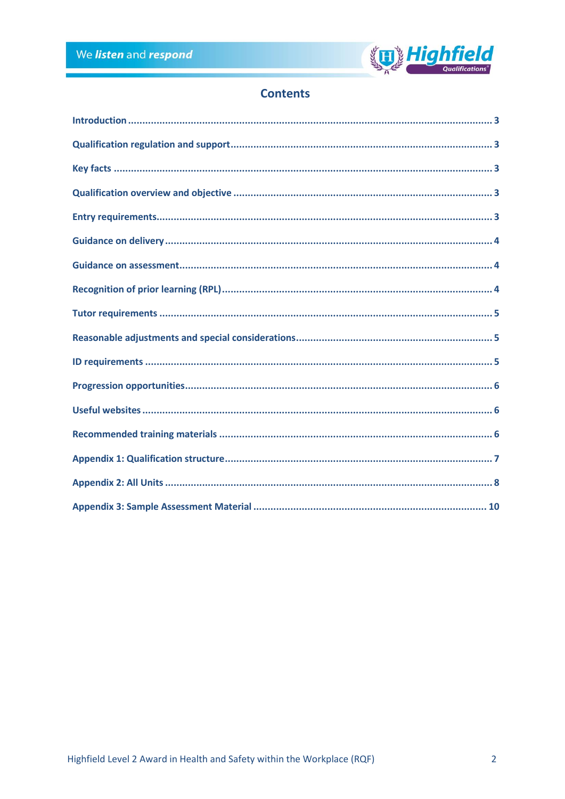

# **Contents**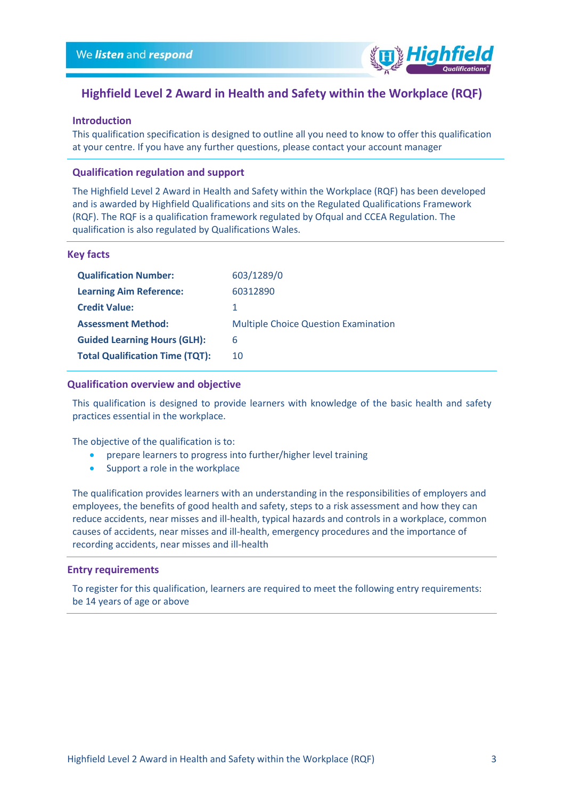

# **Highfield Level 2 Award in Health and Safety within the Workplace (RQF)**

#### <span id="page-2-0"></span>**Introduction**

This qualification specification is designed to outline all you need to know to offer this qualification at your centre. If you have any further questions, please contact your account manager

## <span id="page-2-1"></span>**Qualification regulation and support**

The Highfield Level 2 Award in Health and Safety within the Workplace (RQF) has been developed and is awarded by Highfield Qualifications and sits on the Regulated Qualifications Framework (RQF). The RQF is a qualification framework regulated by Ofqual and CCEA Regulation. The qualification is also regulated by Qualifications Wales.

#### <span id="page-2-2"></span>**Key facts**

| <b>Qualification Number:</b>           | 603/1289/0                                  |
|----------------------------------------|---------------------------------------------|
| <b>Learning Aim Reference:</b>         | 60312890                                    |
| <b>Credit Value:</b>                   |                                             |
| <b>Assessment Method:</b>              |                                             |
|                                        | <b>Multiple Choice Question Examination</b> |
| <b>Guided Learning Hours (GLH):</b>    | 6                                           |
| <b>Total Qualification Time (TQT):</b> | 10                                          |

#### <span id="page-2-3"></span>**Qualification overview and objective**

This qualification is designed to provide learners with knowledge of the basic health and safety practices essential in the workplace.

The objective of the qualification is to:

- prepare learners to progress into further/higher level training
- Support a role in the workplace

The qualification provides learners with an understanding in the responsibilities of employers and employees, the benefits of good health and safety, steps to a risk assessment and how they can reduce accidents, near misses and ill-health, typical hazards and controls in a workplace, common causes of accidents, near misses and ill-health, emergency procedures and the importance of recording accidents, near misses and ill-health

#### <span id="page-2-4"></span>**Entry requirements**

To register for this qualification, learners are required to meet the following entry requirements: be 14 years of age or above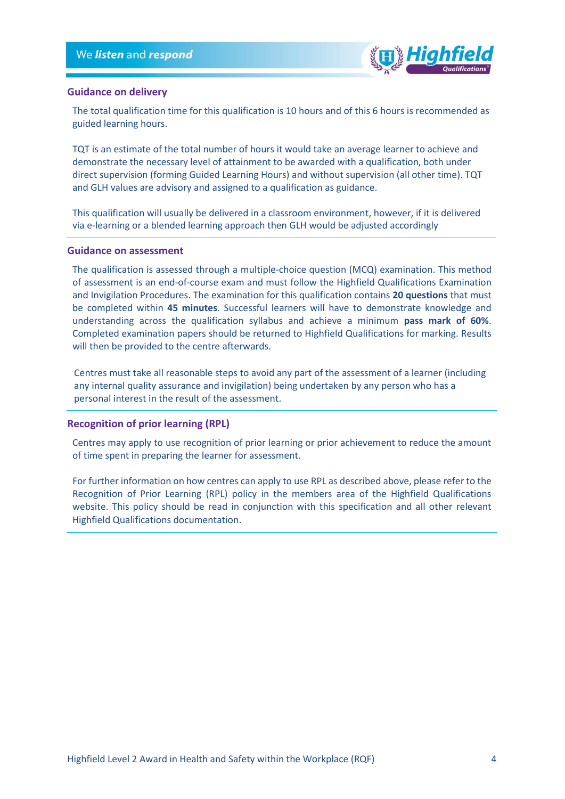

#### <span id="page-3-0"></span>**Guidance on delivery**

The total qualification time for this qualification is 10 hours and of this 6 hours is recommended as guided learning hours.

TQT is an estimate of the total number of hours it would take an average learner to achieve and demonstrate the necessary level of attainment to be awarded with a qualification, both under direct supervision (forming Guided Learning Hours) and without supervision (all other time). TQT and GLH values are advisory and assigned to a qualification as guidance.

This qualification will usually be delivered in a classroom environment, however, if it is delivered via e-learning or a blended learning approach then GLH would be adjusted accordingly

#### <span id="page-3-1"></span>**Guidance on assessment**

The qualification is assessed through a multiple-choice question (MCQ) examination. This method of assessment is an end-of-course exam and must follow the Highfield Qualifications Examination and Invigilation Procedures. The examination for this qualification contains **20 questions** that must be completed within **45 minutes**. Successful learners will have to demonstrate knowledge and understanding across the qualification syllabus and achieve a minimum **pass mark of 60%**. Completed examination papers should be returned to Highfield Qualifications for marking. Results will then be provided to the centre afterwards.

Centres must take all reasonable steps to avoid any part of the assessment of a learner (including any internal quality assurance and invigilation) being undertaken by any person who has a personal interest in the result of the assessment.

#### <span id="page-3-2"></span>**Recognition of prior learning (RPL)**

Centres may apply to use recognition of prior learning or prior achievement to reduce the amount of time spent in preparing the learner for assessment.

For further information on how centres can apply to use RPL as described above, please refer to the Recognition of Prior Learning (RPL) policy in the members area of the Highfield Qualifications website. This policy should be read in conjunction with this specification and all other relevant Highfield Qualifications documentation.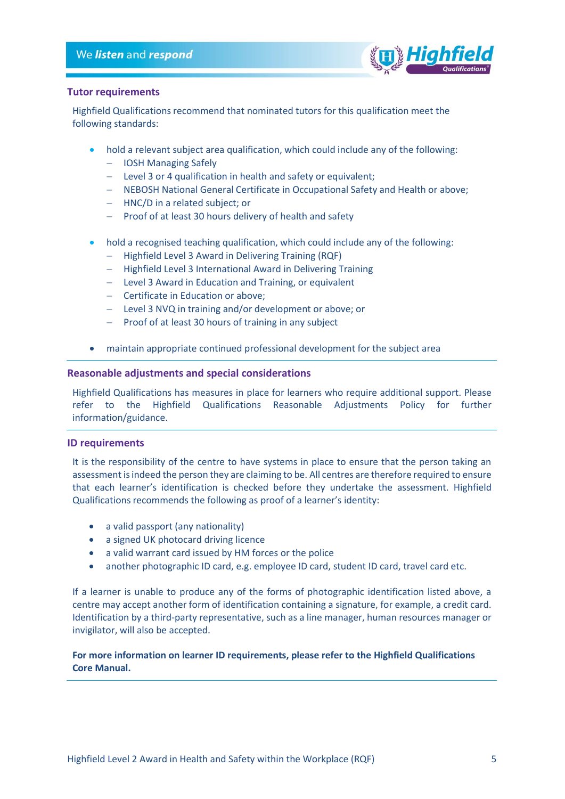

## <span id="page-4-0"></span>**Tutor requirements**

Highfield Qualifications recommend that nominated tutors for this qualification meet the following standards:

- hold a relevant subject area qualification, which could include any of the following:
	- − IOSH Managing Safely
	- − Level 3 or 4 qualification in health and safety or equivalent;
	- − NEBOSH National General Certificate in Occupational Safety and Health or above;
	- − HNC/D in a related subject; or
	- − Proof of at least 30 hours delivery of health and safety
- hold a recognised teaching qualification, which could include any of the following:
	- − Highfield Level 3 Award in Delivering Training (RQF)
	- − Highfield Level 3 International Award in Delivering Training
	- − Level 3 Award in Education and Training, or equivalent
	- − Certificate in Education or above;
	- − Level 3 NVQ in training and/or development or above; or
	- − Proof of at least 30 hours of training in any subject
- maintain appropriate continued professional development for the subject area

## <span id="page-4-1"></span>**Reasonable adjustments and special considerations**

Highfield Qualifications has measures in place for learners who require additional support. Please refer to the Highfield Qualifications Reasonable Adjustments Policy for further information/guidance.

## <span id="page-4-2"></span>**ID requirements**

It is the responsibility of the centre to have systems in place to ensure that the person taking an assessment is indeed the person they are claiming to be. All centres are therefore required to ensure that each learner's identification is checked before they undertake the assessment. Highfield Qualifications recommends the following as proof of a learner's identity:

- a valid passport (any nationality)
- a signed UK photocard driving licence
- a valid warrant card issued by HM forces or the police
- another photographic ID card, e.g. employee ID card, student ID card, travel card etc.

If a learner is unable to produce any of the forms of photographic identification listed above, a centre may accept another form of identification containing a signature, for example, a credit card. Identification by a third-party representative, such as a line manager, human resources manager or invigilator, will also be accepted.

## **For more information on learner ID requirements, please refer to the Highfield Qualifications Core Manual.**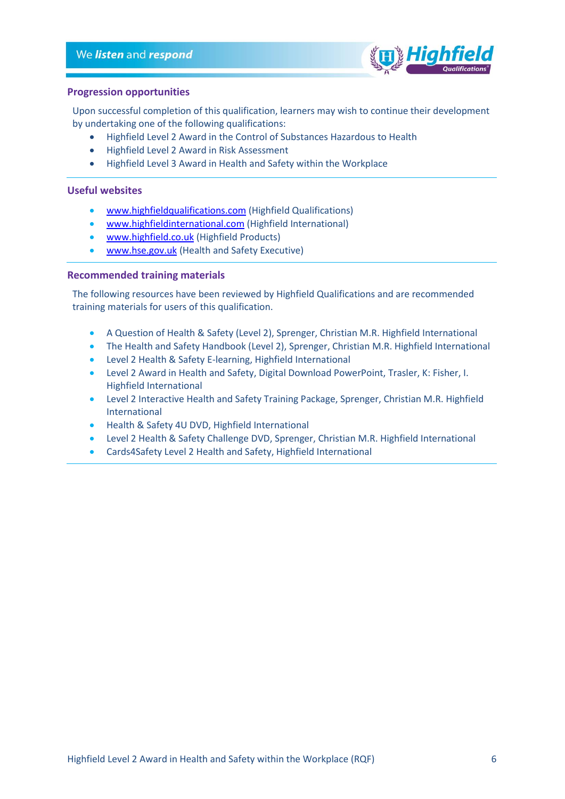

#### <span id="page-5-0"></span>**Progression opportunities**

Upon successful completion of this qualification, learners may wish to continue their development by undertaking one of the following qualifications:

- Highfield Level 2 Award in the Control of Substances Hazardous to Health
- Highfield Level 2 Award in Risk Assessment
- Highfield Level 3 Award in Health and Safety within the Workplace

## <span id="page-5-1"></span>**Useful websites**

- [www.highfieldqualifications.com](http://www.highfieldqualifications.com/) (Highfield Qualifications)
- [www.highfieldinternational.com](http://www.highfieldinternational.com/) (Highfield International)
- [www.highfield.co.uk](http://www.highfield.co.uk/) (Highfield Products)
- [www.hse.gov.uk](http://www.hse.gov.uk/) (Health and Safety Executive)

## <span id="page-5-2"></span>**Recommended training materials**

The following resources have been reviewed by Highfield Qualifications and are recommended training materials for users of this qualification.

- A Question of Health & Safety (Level 2), Sprenger, Christian M.R. Highfield International
- The Health and Safety Handbook (Level 2), Sprenger, Christian M.R. Highfield International
- Level 2 Health & Safety E-learning, Highfield International
- Level 2 Award in Health and Safety, Digital Download PowerPoint, Trasler, K: Fisher, I. Highfield International
- Level 2 Interactive Health and Safety Training Package, Sprenger, Christian M.R. Highfield International
- Health & Safety 4U DVD, Highfield International
- Level 2 Health & Safety Challenge DVD, Sprenger, Christian M.R. Highfield International
- Cards4Safety Level 2 Health and Safety, Highfield International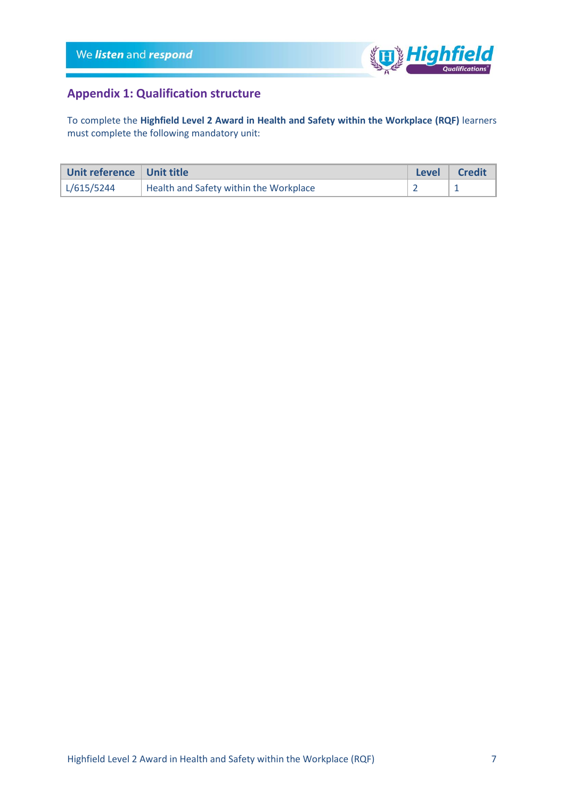

# <span id="page-6-0"></span>**Appendix 1: Qualification structure**

To complete the **Highfield Level 2 Award in Health and Safety within the Workplace (RQF)** learners must complete the following mandatory unit:

| Unit reference   Unit title |                                        | <b>Level</b> | <b>Credit</b> |
|-----------------------------|----------------------------------------|--------------|---------------|
| L/615/5244                  | Health and Safety within the Workplace |              |               |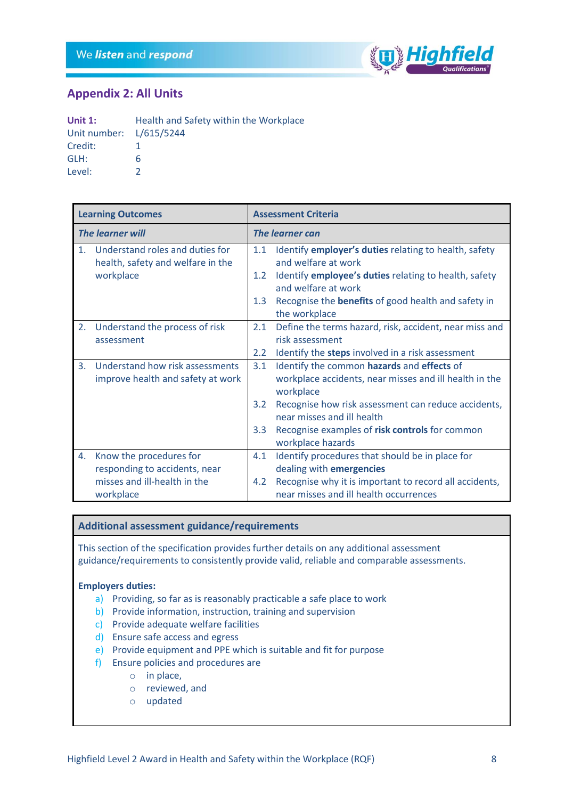

## <span id="page-7-0"></span>**Appendix 2: All Units**

| Unit $1$ :              | Health and Safety within the Workplace |  |  |  |
|-------------------------|----------------------------------------|--|--|--|
| Unit number: L/615/5244 |                                        |  |  |  |
| Credit:                 |                                        |  |  |  |
| GLH:                    | h                                      |  |  |  |
| Level:                  |                                        |  |  |  |

|                         | <b>Learning Outcomes</b>                                             |                        | <b>Assessment Criteria</b>                                                        |  |
|-------------------------|----------------------------------------------------------------------|------------------------|-----------------------------------------------------------------------------------|--|
| <b>The learner will</b> |                                                                      | <b>The learner can</b> |                                                                                   |  |
| 1 <sub>1</sub>          | Understand roles and duties for<br>health, safety and welfare in the | 1.1                    | Identify employer's duties relating to health, safety<br>and welfare at work      |  |
|                         | workplace                                                            | $1.2^{\circ}$          | Identify employee's duties relating to health, safety<br>and welfare at work      |  |
|                         |                                                                      | 1.3                    | Recognise the <b>benefits</b> of good health and safety in<br>the workplace       |  |
| 2.                      | Understand the process of risk                                       | 2.1                    | Define the terms hazard, risk, accident, near miss and                            |  |
|                         | assessment                                                           |                        | risk assessment                                                                   |  |
|                         |                                                                      | 2.2                    | Identify the steps involved in a risk assessment                                  |  |
| 3.                      | Understand how risk assessments                                      | 3.1                    | Identify the common hazards and effects of                                        |  |
|                         | improve health and safety at work                                    |                        | workplace accidents, near misses and ill health in the<br>workplace               |  |
|                         |                                                                      | 3.2                    | Recognise how risk assessment can reduce accidents,<br>near misses and ill health |  |
|                         |                                                                      | 3.3 <sub>2</sub>       | Recognise examples of risk controls for common<br>workplace hazards               |  |
| 4.                      | Know the procedures for                                              | 4.1                    | Identify procedures that should be in place for                                   |  |
|                         | responding to accidents, near                                        |                        | dealing with emergencies                                                          |  |
|                         | misses and ill-health in the                                         | $4.2^{\circ}$          | Recognise why it is important to record all accidents,                            |  |
|                         | workplace                                                            |                        | near misses and ill health occurrences                                            |  |

## **Additional assessment guidance/requirements**

This section of the specification provides further details on any additional assessment guidance/requirements to consistently provide valid, reliable and comparable assessments.

## **Employers duties:**

- a) Providing, so far as is reasonably practicable a safe place to work
- b) Provide information, instruction, training and supervision
- c) Provide adequate welfare facilities
- d) Ensure safe access and egress
- e) Provide equipment and PPE which is suitable and fit for purpose
- f) Ensure policies and procedures are
	- o in place,
	- o reviewed, and
	- o updated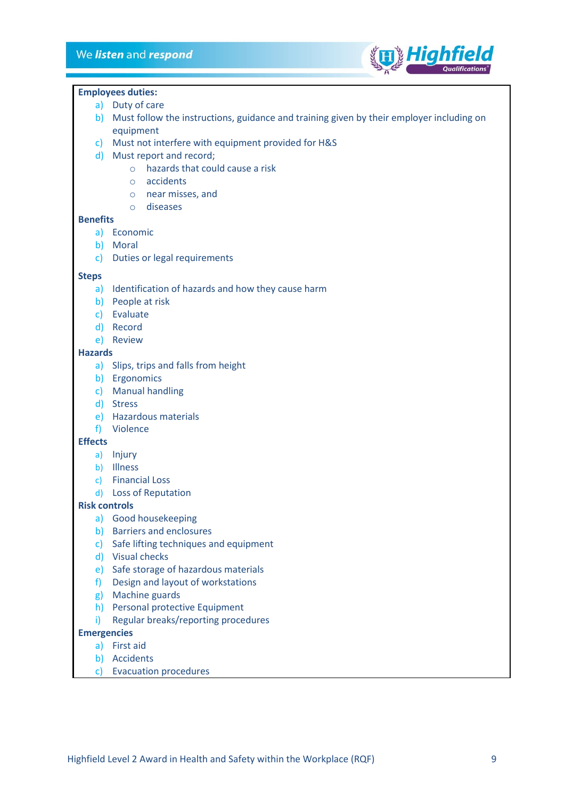

#### **Employees duties:**

- a) Duty of care
- b) Must follow the instructions, guidance and training given by their employer including on equipment
- c) Must not interfere with equipment provided for H&S
- d) Must report and record;
	- o hazards that could cause a risk
	- o accidents
	- o near misses, and
	- o diseases

#### **Benefits**

- a) Economic
- b) Moral
- c) Duties or legal requirements

#### **Steps**

- a) Identification of hazards and how they cause harm
- b) People at risk
- c) Evaluate
- d) Record
- e) Review

#### **Hazards**

- a) Slips, trips and falls from height
- b) Ergonomics
- c) Manual handling
- d) Stress
- e) Hazardous materials
- f) Violence

## **Effects**

- a) Injury
- b) Illness
- c) Financial Loss
- d) Loss of Reputation

## **Risk controls**

- a) Good housekeeping
- b) Barriers and enclosures
- c) Safe lifting techniques and equipment
- d) Visual checks
- e) Safe storage of hazardous materials
- f) Design and layout of workstations
- g) Machine guards
- h) Personal protective Equipment
- i) Regular breaks/reporting procedures

## **Emergencies**

- a) First aid
- b) Accidents
- c) Evacuation procedures